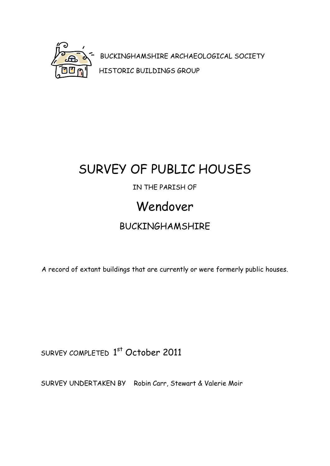

BUCKINGHAMSHIRE ARCHAEOLOGICAL SOCIETY HISTORIC BUILDINGS GROUP

## SURVEY OF PUBLIC HOUSES

#### IN THE PARISH OF

### Wendover

#### BUCKINGHAMSHIRE

A record of extant buildings that are currently or were formerly public houses.

SURVEY COMPLETED 1st October 2011

SURVEY UNDERTAKEN BY Robin Carr, Stewart & Valerie Moir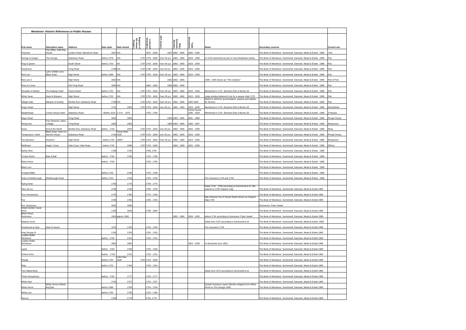|                                            |                                              | <b>Wendover: Historic References to Public Houses</b> |             |                         |                                     |                                          |                         |                              |                             |                                                                                    |                                                               |                    |
|--------------------------------------------|----------------------------------------------|-------------------------------------------------------|-------------|-------------------------|-------------------------------------|------------------------------------------|-------------------------|------------------------------|-----------------------------|------------------------------------------------------------------------------------|---------------------------------------------------------------|--------------------|
|                                            |                                              |                                                       |             |                         |                                     |                                          |                         |                              |                             |                                                                                    |                                                               |                    |
|                                            |                                              |                                                       |             |                         | Register of<br>Ale House<br>Keepers | Licensec<br>ictuallers                   | return:                 | Petty<br>Sessions<br>Records |                             |                                                                                    |                                                               |                    |
| Pub name                                   | Alternative name                             | <b>Address</b>                                        | Date open   | Date closed             |                                     |                                          |                         |                              | Trade<br>ctories            | Notes                                                                              | <b>Secondary sources</b>                                      | <b>Current use</b> |
| Firecrest                                  | The Office; Half Way<br>House                | London Road, Wendover Dean                            | 1837 N/A    |                         |                                     | 1837 - 1828                              |                         | 1837 1882 - 1960             | 1850 - 1939                 |                                                                                    | The Book of Wendover. Summerell, Samuels, Mead & Eckett. 1989 | Pub                |
| George & Dragon                            | The George                                   | Aylesbury Road                                        | before 1578 | N/A                     |                                     | 1797 1753 - 1828 Over 50 yrs 1882 - 1960 |                         |                              | 1823 - 1939                 | n 1578 mentioned as part of Joan Bradshaw charity                                  | The Book of Wendover. Summerell, Samuels, Mead & Eckett. 1989 | Pub                |
| King & Queen                               |                                              | South Street                                          | before 1753 | NA                      |                                     | 1797 1753 - 1828                         | Over 50 yrs             | 1882 - 1960                  | 823 - 1939                  |                                                                                    | The Book of Wendover. Summerell, Samuels, Mead & Eckett. 1989 | Pub                |
| Packhorse                                  |                                              | <b>Tring Road</b>                                     | 1768 N/A    |                         |                                     | 1797 1768 - 1828                         | over 50 yrs             | 1882 - 1960                  | 823 - 1939                  |                                                                                    | The Book of Wendover. Summerell, Samuels, Mead & Eckett. 1989 | Pub                |
| Red Lion                                   | Lyon; Golden Lion;<br><b>Black Swan</b>      | <b>High Street</b>                                    | before 1669 | N/A                     |                                     | 1797 1753 - 1828 Over 50 yrs 1882 - 1960 |                         |                              | 1823 - 1939                 |                                                                                    | The Book of Wendover, Summerell, Samuels, Mead & Eckett, 1989 | Pub                |
| Red Lion 2                                 |                                              | <b>High Street</b>                                    | 1852 N/A    |                         |                                     |                                          |                         | 1852 1882 - 1960             |                             | 1939 - 1945 known as "The Canteen"                                                 | The Book of Wendover. Summerell, Samuels, Mead & Eckett. 1989 | Part of Pub        |
| Rose & Crown                               |                                              | Old Tring Road                                        | 1865 N/A    |                         |                                     | 865 - 1828                               |                         | 1865 1882 - 1960             |                             |                                                                                    | The Book of Wendover. Summerell, Samuels, Mead & Eckett. 1989 | Pub                |
| Shoulder of Mutton                         | The Railway Hotel                            | <b>Pound Street</b>                                   | before 1753 | N/A                     |                                     | 1797 1753 - 1828 Over 50 yrs 1882 - 1960 |                         |                              | 1823 - 1939                 | Mentioned in 1741 Elections Rds of Bucks 28                                        | The Book of Wendover. Summerell, Samuels, Mead & Eckett. 1989 | Pub                |
| <b>White Swan</b>                          | Swan & Brewers                               | <b>High Street</b>                                    | before 1753 | N/A                     |                                     | 1797 1753 - 1828                         | Over 50 yrs 1882 - 1960 |                              | 823 - 1939                  | Large window believed to be for a weaver died 1723                                 | The Book of Wendover. Summerell, Samuels, Mead & Eckett. 1989 | Pub                |
| <b>Village Gate</b>                        | Marquis of Granby                            | Worlds End, Aylesbury Road                            | 1763 N/A    |                         |                                     | 1797 1763 - 1828                         | Over 50 yrs 1882 - 1960 |                              | 850 1939                    | Advert in 1824 for accomodation, pasture and stables<br>for drovers.               | The Book of Wendover. Summerell, Samuels, Mead & Eckett. 1989 | Pub                |
| King's Head                                |                                              | <b>High Street</b>                                    | 1741        | 1963                    |                                     | 1797 1753 - 1828                         | over 50 yrs 1882 - 1963 |                              | 823 - 1939                  | Mentioned in 1741 Elections Rds of Bucks 28                                        | The Book of Wendover. Summerell, Samuels, Mead & Eckett. 1989 | Demolished         |
| Maidenhead                                 | Corner House Hotel                           | Aylesbury Road                                        |             | Before 1514 C H H 1970  |                                     | 1753 - 1785                              |                         |                              | Corner house<br>1935 - 1939 | Mentioned in 1741 Elections Rds of Bucks 28                                        | The Book of Wendover. Summerell, Samuels, Mead & Eckett. 1989 | 3 Houses           |
| Nag's Head                                 |                                              | <b>Tring Road</b>                                     | 1852        | 1965                    |                                     |                                          |                         | 1852 1882 - 1965             | 1891 - 1899                 |                                                                                    | The Book of Wendover. Summerell, Samuels, Mead & Eckett. 1989 | Private House      |
| Rising Sun                                 | Four Seasons; Spice<br>Cottage               | <b>Tring Road</b>                                     | 1850        | 1993                    |                                     |                                          |                         | 1850 1882 - 1960             | 1863 - 1907                 |                                                                                    | The Book of Wendover. Summerell, Samuels, Mead & Eckett. 1989 | Restaurant         |
| Swan                                       | End of the World                             | Worlds End, Aylesbury Road                            | before 1753 | 2004                    |                                     | 1797 1753 - 1828                         | over 50 yrs 1882 - 1960 |                              | 1842 - 1939                 |                                                                                    | The Book of Wendover. Summerell, Samuels, Mead & Eckett. 1989 | Shop               |
| Temperance Hotel                           | Black Swan: New Inn<br><b>Sturrick House</b> | Avlesbury Road                                        |             | Temp Hotel<br>1754 1935 |                                     | 1797 1753 - 1828 over 50 yrs 1882 - 1893 |                         |                              | 1823 - 1935                 |                                                                                    | The Book of Wendover. Summerell, Samuels, Mead & Eckett. 1989 | Private House      |
| <b>Two Brewers</b>                         | Rossini's                                    | <b>High Street</b>                                    | before 1753 | 1990?                   |                                     | 1797 1753 - 1828                         | Over 50 yrs 1882 - 1960 |                              | 823 - 1939                  |                                                                                    | The Book of Wendover. Summerell, Samuels, Mead & Eckett. 1989 | Restaurant         |
| Wellhead                                   | Angel. Crown                                 | Hale Court, Hale Road.                                | before 1753 | 1990                    |                                     | 1797 1753 - 1828                         |                         | 1882 - 1960                  | 831 - 1939                  |                                                                                    | The Book of Wendover. Summerell, Samuels, Mead & Eckett. 1989 | Offices            |
| <b>Barley Mow</b>                          |                                              |                                                       | 1769        | 1781                    |                                     | 1769, 1781                               |                         |                              |                             |                                                                                    | The Book of Wendover. Summerell, Samuels, Mead & Eckett. 1989 |                    |
| <b>Cricket Sticks</b>                      | Bats & Ball                                  |                                                       | before 1753 | 1785                    |                                     | 1753 - 1785                              |                         |                              |                             |                                                                                    | The Book of Wendover. Summerell, Samuels, Mead & Eckett. 1989 |                    |
| <b>Black Horse</b>                         |                                              |                                                       | before 1753 |                         |                                     | 1753 - 1766                              |                         |                              |                             |                                                                                    | The Book of Wendover. Summerell, Samuels, Mead & Eckett. 1989 |                    |
| <b>Black Lion</b>                          |                                              |                                                       |             |                         |                                     |                                          |                         |                              |                             |                                                                                    | The Book of Wendover. Summerell, Samuels, Mead & Eckett. 1989 |                    |
| <b>Crooked Billet</b>                      |                                              |                                                       | before 1753 | 1768                    |                                     | 1753 - 1768                              |                         |                              |                             |                                                                                    | The Book of Wendover. Summerell, Samuels, Mead & Eckett. 1989 |                    |
| Duke of Marlborough                        | Marlborough Road                             |                                                       | before 1724 | 1756                    |                                     | 1753 - 1756                              |                         |                              |                             | Fire Insurance 1724 and 1726                                                       | The Book of Wendover. Summerell, Samuels, Mead & Eckett. 1989 |                    |
| Dying Swan                                 |                                              |                                                       | 1759        | 1776                    |                                     | 1759 - 1776                              |                         |                              |                             |                                                                                    |                                                               |                    |
| Fleur de Lis                               |                                              |                                                       | 1769        | 1790                    |                                     | 1769 - 1790                              |                         |                              |                             | Dates 1741 - 1790 according to Summerell et al. Site<br>named on 1792 Claydon map. | The Book of Wendover, Summerell, Samuels, Mead & Eckett 1989  |                    |
| Four Horseshoes                            |                                              |                                                       | 1776        | 1785                    |                                     | 1776 - 1785                              |                         |                              |                             |                                                                                    | The Book of Wendover. Summerell, Samuels, Mead & Eckett 1989  |                    |
| Fox                                        |                                              |                                                       | 1760        | 1782                    |                                     | 1760 - 1782                              |                         |                              |                             | Site of former Fox in Pound Street shown on Claydon<br>Map 1792                    | The Book of Wendover. Summerell, Samuels, Mead & Eckett 1989  |                    |
| Fox Dunsmore<br><b>Grand Juntion Canal</b> |                                              |                                                       | 1832        | 1990                    |                                     |                                          |                         |                              |                             |                                                                                    | Dumsmore. Peter Jewell                                        |                    |
| Arms<br>Black Horse.                       |                                              |                                                       | 1799        | 1803                    |                                     | 1799 - 1803                              |                         |                              |                             |                                                                                    | The Book of Wendover. Summerell, Samuels, Mead & Eckett 1989  |                    |
| Dunsmore                                   |                                              |                                                       |             | 1852 approx 1960        |                                     |                                          |                         | 1882 - 1960                  | 854 - 1935                  | before 1741 according to Dunsmore. Peter Jewell                                    | The Book of Wendover. Summerell, Samuels, Mead & Eckett 1989  |                    |
| <b>Glaziers Arms</b>                       |                                              |                                                       |             |                         |                                     |                                          |                         |                              |                             | Dates from 1670 according to Summerell et al                                       | The Book of Wendover. Summerell, Samuels, Mead & Eckett. 1989 |                    |
| Greyhound & Hare                           | Hare & Hound                                 |                                                       | 1670        | 1784                    |                                     | 1753 - 1784                              |                         |                              |                             | Fire Insurance 1730                                                                | The Book of Wendover. Summerell, Samuels, Mead & Eckett 1989  |                    |
| King George III<br>Leather Bottle          |                                              |                                                       | 1762        | 1763                    |                                     | 1762 - 1763                              |                         |                              |                             |                                                                                    | The Book of Wendover. Summerell, Samuels, Mead & Eckett 1989  |                    |
| Wendover                                   |                                              |                                                       | before 1753 | 1761                    |                                     | 1753 - 1761                              |                         |                              |                             |                                                                                    | The Book of Wendover. Summerell, Saumels, Mead & Eckett 1989  |                    |
| Leather Bottle<br>Dunsmore                 |                                              |                                                       | 1852        | 1960                    |                                     |                                          |                         |                              | 1853 - 1939                 | In directories from 1853                                                           | The Book of Wendover, Summerell, Samuels, Mead & Eckett 1989  |                    |
| Lamb                                       |                                              |                                                       | before 1753 | 1766                    |                                     | 1753 - 1766                              |                         |                              |                             |                                                                                    | The Book of Wendover. Summerell, Samuels, Mead & Eckett 1989  |                    |
| Oxford Arms                                |                                              |                                                       | before 1753 | 1761<br>Later than      |                                     | 1753 - 1761                              |                         |                              |                             |                                                                                    | The Book of Wendover. Summerell, Samuels, Mead & Eckett 1989  |                    |
| Plough                                     |                                              |                                                       | before 1753 | 1828                    |                                     | 1797 1753 - 1828                         |                         |                              |                             |                                                                                    | The Book of Wendover. Summerell, Samuels, Mead & Eckett 1989  |                    |
| Ship                                       |                                              |                                                       | before 1753 | 1764                    |                                     | 1753 - 1764                              |                         |                              |                             |                                                                                    | The Book of Wendover. Summerell, Samuels, Mead & Eckett 1989  |                    |
| Two Naked Boys                             |                                              |                                                       |             |                         |                                     |                                          |                         |                              |                             | Dates from 1672 according to Summerell et al                                       | The Book of Wendover. Summerell, Samuels, Mead & Eckett 1989  |                    |
| Three Horseshoes                           |                                              |                                                       | before 1753 | 1777                    |                                     | 1753 - 1777                              |                         |                              |                             |                                                                                    | The Book of Wendover. Summerell, Samuels, Mead & Eckett 1989  |                    |
| White Hart                                 |                                              |                                                       | 1754        | 1757                    |                                     | 1754 - 1757                              |                         |                              |                             |                                                                                    | The Book of Wendover. Summerell, Samuels, Mead & Eckett 1989  |                    |
| <b>White Horse</b>                         | White Horse & Black<br>Boy/Star              |                                                       | efore 1698  | 1794                    |                                     | 1753 - 1794                              |                         |                              |                             | Quarter Sessions report offender whipped from White<br>Horse to The George 1698    | The Book of Wendover. Summerell, Samuels, Mead & Eckett 1989  |                    |
| White Lion                                 |                                              |                                                       | before 1753 | 1785                    |                                     | 1753 - 1785                              |                         |                              |                             |                                                                                    |                                                               |                    |
| Harrow                                     |                                              |                                                       | 1756        | 1776                    |                                     | 1756, 1776                               |                         |                              |                             |                                                                                    | The Book of Wendover. Summerell, Samuels, Mead & Eckett 1989  |                    |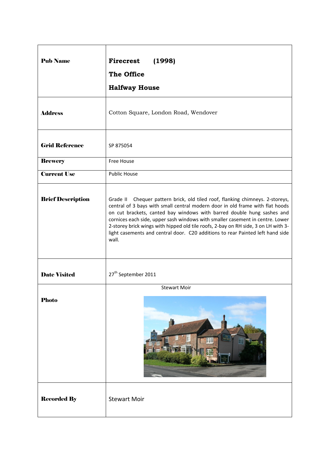| <b>Pub Name</b>          | <b>Firecrest</b><br>(1998)<br><b>The Office</b>                                                                                                                                                                                                                                                                                                                                                                                                                                                            |
|--------------------------|------------------------------------------------------------------------------------------------------------------------------------------------------------------------------------------------------------------------------------------------------------------------------------------------------------------------------------------------------------------------------------------------------------------------------------------------------------------------------------------------------------|
|                          | <b>Halfway House</b>                                                                                                                                                                                                                                                                                                                                                                                                                                                                                       |
| <b>Address</b>           | Cotton Square, London Road, Wendover                                                                                                                                                                                                                                                                                                                                                                                                                                                                       |
| <b>Grid Reference</b>    | SP 875054                                                                                                                                                                                                                                                                                                                                                                                                                                                                                                  |
| <b>Brewery</b>           | <b>Free House</b>                                                                                                                                                                                                                                                                                                                                                                                                                                                                                          |
| <b>Current Use</b>       | <b>Public House</b>                                                                                                                                                                                                                                                                                                                                                                                                                                                                                        |
| <b>Brief Description</b> | Grade II Chequer pattern brick, old tiled roof, flanking chimneys. 2-storeys,<br>central of 3 bays with small central modern door in old frame with flat hoods<br>on cut brackets, canted bay windows with barred double hung sashes and<br>cornices each side, upper sash windows with smaller casement in centre. Lower<br>2-storey brick wings with hipped old tile roofs, 2-bay on RH side, 3 on LH with 3-<br>light casements and central door. C20 additions to rear Painted left hand side<br>wall. |
| <b>Date Visited</b>      | 27 <sup>th</sup> September 2011                                                                                                                                                                                                                                                                                                                                                                                                                                                                            |
| <b>Photo</b>             | <b>Stewart Moir</b>                                                                                                                                                                                                                                                                                                                                                                                                                                                                                        |
|                          | THE FIRECREST<br>H                                                                                                                                                                                                                                                                                                                                                                                                                                                                                         |
| <b>Recorded By</b>       | <b>Stewart Moir</b>                                                                                                                                                                                                                                                                                                                                                                                                                                                                                        |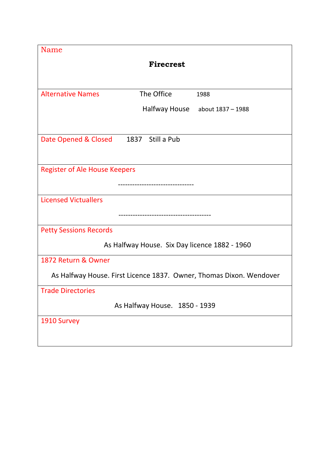| Name                                                                |                               |                                 |  |  |
|---------------------------------------------------------------------|-------------------------------|---------------------------------|--|--|
| <b>Firecrest</b>                                                    |                               |                                 |  |  |
|                                                                     |                               |                                 |  |  |
| <b>Alternative Names</b>                                            | The Office                    | 1988                            |  |  |
|                                                                     |                               |                                 |  |  |
|                                                                     |                               | Halfway House about 1837 - 1988 |  |  |
|                                                                     |                               |                                 |  |  |
| Date Opened & Closed                                                | 1837 Still a Pub              |                                 |  |  |
|                                                                     |                               |                                 |  |  |
| <b>Register of Ale House Keepers</b>                                |                               |                                 |  |  |
|                                                                     |                               |                                 |  |  |
| <b>Licensed Victuallers</b>                                         |                               |                                 |  |  |
|                                                                     |                               |                                 |  |  |
|                                                                     |                               |                                 |  |  |
| <b>Petty Sessions Records</b>                                       |                               |                                 |  |  |
| As Halfway House. Six Day licence 1882 - 1960                       |                               |                                 |  |  |
| 1872 Return & Owner                                                 |                               |                                 |  |  |
| As Halfway House. First Licence 1837. Owner, Thomas Dixon. Wendover |                               |                                 |  |  |
| <b>Trade Directories</b>                                            |                               |                                 |  |  |
|                                                                     | As Halfway House. 1850 - 1939 |                                 |  |  |
| 1910 Survey                                                         |                               |                                 |  |  |
|                                                                     |                               |                                 |  |  |
|                                                                     |                               |                                 |  |  |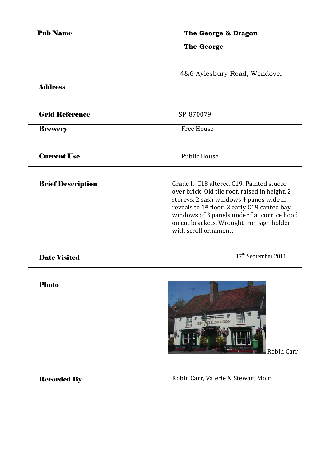| <b>Pub Name</b>          | The George & Dragon<br><b>The George</b>                                                                                                                                                                                                                                                                               |
|--------------------------|------------------------------------------------------------------------------------------------------------------------------------------------------------------------------------------------------------------------------------------------------------------------------------------------------------------------|
| <b>Address</b>           | 4&6 Aylesbury Road, Wendover                                                                                                                                                                                                                                                                                           |
| <b>Grid Reference</b>    | SP 870079                                                                                                                                                                                                                                                                                                              |
| <b>Brewery</b>           | <b>Free House</b>                                                                                                                                                                                                                                                                                                      |
| <b>Current Use</b>       | <b>Public House</b>                                                                                                                                                                                                                                                                                                    |
| <b>Brief Description</b> | Grade II C18 altered C19. Painted stucco<br>over brick. Old tile roof, raised in height, 2<br>storeys, 2 sash windows 4 panes wide in<br>reveals to 1 <sup>st</sup> floor. 2 early C19 canted bay<br>windows of 3 panels under flat cornice hood<br>on cut brackets. Wrought iron sign holder<br>with scroll ornament. |
| <b>Date Visited</b>      | 17 <sup>th</sup> September 2011                                                                                                                                                                                                                                                                                        |
| <b>Photo</b>             | 国語語<br>Robin Carr                                                                                                                                                                                                                                                                                                      |
| <b>Recorded By</b>       | Robin Carr, Valerie & Stewart Moir                                                                                                                                                                                                                                                                                     |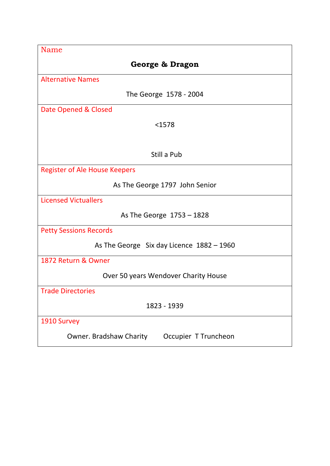| <b>Name</b>                                     |
|-------------------------------------------------|
| George & Dragon                                 |
| <b>Alternative Names</b>                        |
| The George 1578 - 2004                          |
| Date Opened & Closed                            |
| $1578$                                          |
|                                                 |
| Still a Pub                                     |
| Register of Ale House Keepers                   |
| As The George 1797 John Senior                  |
| <b>Licensed Victuallers</b>                     |
| As The George $1753 - 1828$                     |
| <b>Petty Sessions Records</b>                   |
| As The George Six day Licence $1882 - 1960$     |
| 1872 Return & Owner                             |
| Over 50 years Wendover Charity House            |
| <b>Trade Directories</b>                        |
| 1823 - 1939                                     |
| 1910 Survey                                     |
| Owner. Bradshaw Charity<br>Occupier T Truncheon |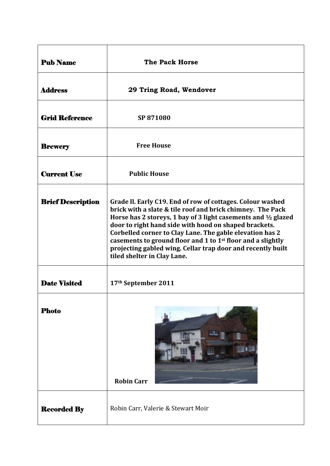| <b>Pub Name</b>          | <b>The Pack Horse</b>                                                                                                                                                                                                                                                                                                                                                                                                                                                                    |
|--------------------------|------------------------------------------------------------------------------------------------------------------------------------------------------------------------------------------------------------------------------------------------------------------------------------------------------------------------------------------------------------------------------------------------------------------------------------------------------------------------------------------|
| <b>Address</b>           | 29 Tring Road, Wendover                                                                                                                                                                                                                                                                                                                                                                                                                                                                  |
| <b>Grid Reference</b>    | SP 871080                                                                                                                                                                                                                                                                                                                                                                                                                                                                                |
| <b>Brewery</b>           | <b>Free House</b>                                                                                                                                                                                                                                                                                                                                                                                                                                                                        |
| <b>Current Use</b>       | <b>Public House</b>                                                                                                                                                                                                                                                                                                                                                                                                                                                                      |
| <b>Brief Description</b> | Grade II. Early C19. End of row of cottages. Colour washed<br>brick with a slate & tile roof and brick chimney. The Pack<br>Horse has 2 storeys, 1 bay of 3 light casements and 1/2 glazed<br>door to right hand side with hood on shaped brackets.<br>Corbelled corner to Clay Lane. The gable elevation has 2<br>casements to ground floor and 1 to 1 <sup>st</sup> floor and a slightly<br>projecting gabled wing. Cellar trap door and recently built<br>tiled shelter in Clay Lane. |
| <b>Date Visited</b>      | 17th September 2011                                                                                                                                                                                                                                                                                                                                                                                                                                                                      |
| <b>Photo</b>             | <b>Robin Carr</b>                                                                                                                                                                                                                                                                                                                                                                                                                                                                        |
| <b>Recorded By</b>       | Robin Carr, Valerie & Stewart Moir                                                                                                                                                                                                                                                                                                                                                                                                                                                       |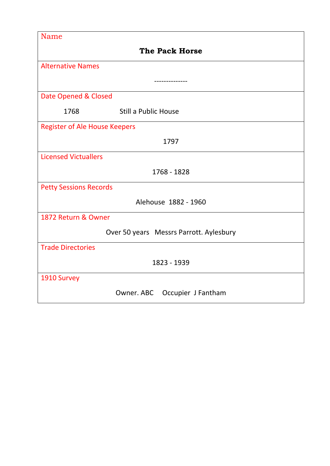| <b>Name</b>                          |                                         |
|--------------------------------------|-----------------------------------------|
|                                      | <b>The Pack Horse</b>                   |
| <b>Alternative Names</b>             |                                         |
|                                      |                                         |
| Date Opened & Closed                 |                                         |
| 1768                                 | <b>Still a Public House</b>             |
| <b>Register of Ale House Keepers</b> |                                         |
|                                      | 1797                                    |
| <b>Licensed Victuallers</b>          |                                         |
|                                      | 1768 - 1828                             |
| <b>Petty Sessions Records</b>        |                                         |
|                                      | Alehouse 1882 - 1960                    |
| 1872 Return & Owner                  |                                         |
|                                      | Over 50 years Messrs Parrott. Aylesbury |
| <b>Trade Directories</b>             |                                         |
|                                      | 1823 - 1939                             |
| 1910 Survey                          |                                         |
|                                      | Owner. ABC Occupier J Fantham           |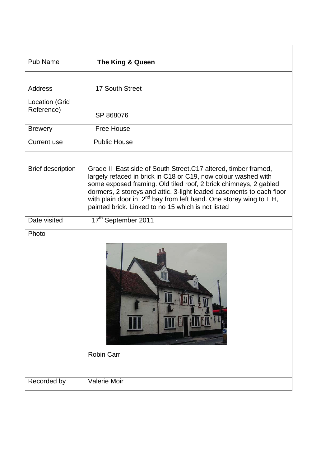| <b>Pub Name</b>              | The King & Queen                                                                                                                                                                                                                                                                                                                                                                                                      |
|------------------------------|-----------------------------------------------------------------------------------------------------------------------------------------------------------------------------------------------------------------------------------------------------------------------------------------------------------------------------------------------------------------------------------------------------------------------|
| <b>Address</b>               | 17 South Street                                                                                                                                                                                                                                                                                                                                                                                                       |
| Location (Grid<br>Reference) | SP 868076                                                                                                                                                                                                                                                                                                                                                                                                             |
| <b>Brewery</b>               | Free House                                                                                                                                                                                                                                                                                                                                                                                                            |
| <b>Current use</b>           | <b>Public House</b>                                                                                                                                                                                                                                                                                                                                                                                                   |
| <b>Brief description</b>     | Grade II East side of South Street. C17 altered, timber framed,<br>largely refaced in brick in C18 or C19, now colour washed with<br>some exposed framing. Old tiled roof, 2 brick chimneys, 2 gabled<br>dormers, 2 storeys and attic. 3-light leaded casements to each floor<br>with plain door in 2 <sup>nd</sup> bay from left hand. One storey wing to L H,<br>painted brick. Linked to no 15 which is not listed |
| Date visited                 | 17th September 2011                                                                                                                                                                                                                                                                                                                                                                                                   |
| Photo                        | <b>Robin Carr</b>                                                                                                                                                                                                                                                                                                                                                                                                     |
| Recorded by                  | Valerie Moir                                                                                                                                                                                                                                                                                                                                                                                                          |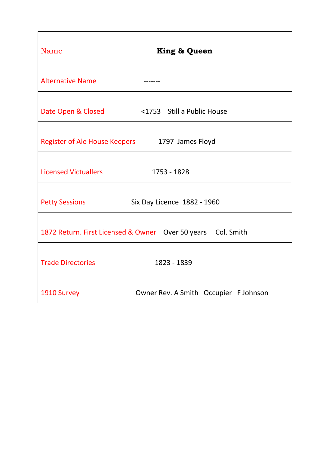| Name                                           | <b>King &amp; Queen</b>                                      |
|------------------------------------------------|--------------------------------------------------------------|
| <b>Alternative Name</b>                        |                                                              |
| Date Open & Closed                             | <1753 Still a Public House                                   |
| Register of Ale House Keepers 1797 James Floyd |                                                              |
| <b>Licensed Victuallers</b>                    | 1753 - 1828                                                  |
| <b>Petty Sessions</b>                          | Six Day Licence 1882 - 1960                                  |
|                                                | 1872 Return. First Licensed & Owner Over 50 years Col. Smith |
| <b>Trade Directories</b>                       | 1823 - 1839                                                  |
| 1910 Survey                                    | Owner Rev. A Smith Occupier F Johnson                        |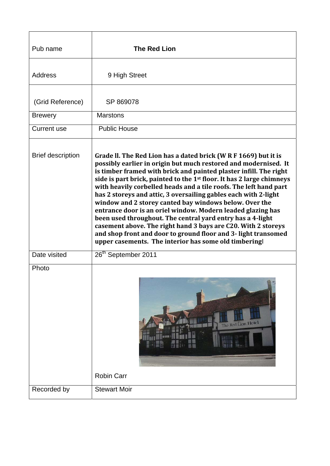| Pub name                 | <b>The Red Lion</b>                                                                                                                                                                                                                                                                                                                                                                                                                                                                                                                                                                                                                                                                                                                                                                                                    |
|--------------------------|------------------------------------------------------------------------------------------------------------------------------------------------------------------------------------------------------------------------------------------------------------------------------------------------------------------------------------------------------------------------------------------------------------------------------------------------------------------------------------------------------------------------------------------------------------------------------------------------------------------------------------------------------------------------------------------------------------------------------------------------------------------------------------------------------------------------|
| <b>Address</b>           | 9 High Street                                                                                                                                                                                                                                                                                                                                                                                                                                                                                                                                                                                                                                                                                                                                                                                                          |
| (Grid Reference)         | SP 869078                                                                                                                                                                                                                                                                                                                                                                                                                                                                                                                                                                                                                                                                                                                                                                                                              |
| <b>Brewery</b>           | <b>Marstons</b>                                                                                                                                                                                                                                                                                                                                                                                                                                                                                                                                                                                                                                                                                                                                                                                                        |
| Current use              | <b>Public House</b>                                                                                                                                                                                                                                                                                                                                                                                                                                                                                                                                                                                                                                                                                                                                                                                                    |
| <b>Brief description</b> | Grade II. The Red Lion has a dated brick (W R F 1669) but it is<br>possibly earlier in origin but much restored and modernised. It<br>is timber framed with brick and painted plaster infill. The right<br>side is part brick, painted to the 1 <sup>st</sup> floor. It has 2 large chimneys<br>with heavily corbelled heads and a tile roofs. The left hand part<br>has 2 storeys and attic, 3 oversailing gables each with 2-light<br>window and 2 storey canted bay windows below. Over the<br>entrance door is an oriel window. Modern leaded glazing has<br>been used throughout. The central yard entry has a 4-light<br>casement above. The right hand 3 bays are C20. With 2 storeys<br>and shop front and door to ground floor and 3- light transomed<br>upper casements. The interior has some old timbering |
| Date visited             | 26 <sup>th</sup> September 2011                                                                                                                                                                                                                                                                                                                                                                                                                                                                                                                                                                                                                                                                                                                                                                                        |
| Photo                    | The Red Lion Hotel<br><b>Robin Carr</b>                                                                                                                                                                                                                                                                                                                                                                                                                                                                                                                                                                                                                                                                                                                                                                                |
| Recorded by              | <b>Stewart Moir</b>                                                                                                                                                                                                                                                                                                                                                                                                                                                                                                                                                                                                                                                                                                                                                                                                    |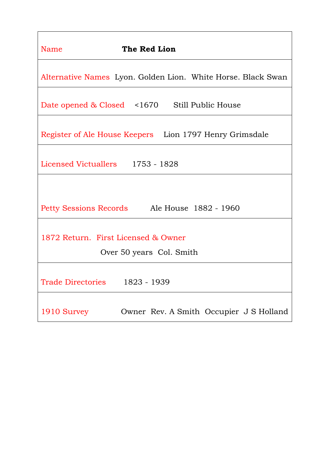| The Red Lion<br>Name                                            |  |  |
|-----------------------------------------------------------------|--|--|
| Alternative Names Lyon. Golden Lion. White Horse. Black Swan    |  |  |
| Date opened & Closed <1670 Still Public House                   |  |  |
| Register of Ale House Keepers Lion 1797 Henry Grimsdale         |  |  |
| Licensed Victuallers 1753 - 1828                                |  |  |
|                                                                 |  |  |
| Petty Sessions Records Ale House 1882 - 1960                    |  |  |
| 1872 Return. First Licensed & Owner<br>Over 50 years Col. Smith |  |  |
| Trade Directories 1823 - 1939                                   |  |  |
| Owner Rev. A Smith Occupier J S Holland<br>1910 Survey          |  |  |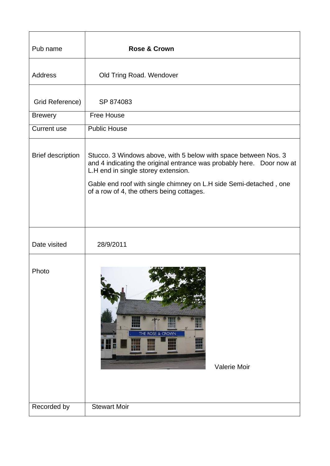| Pub name                 | <b>Rose &amp; Crown</b>                                                                                                                                                                                                                                                                            |
|--------------------------|----------------------------------------------------------------------------------------------------------------------------------------------------------------------------------------------------------------------------------------------------------------------------------------------------|
| <b>Address</b>           | Old Tring Road. Wendover                                                                                                                                                                                                                                                                           |
| Grid Reference)          | SP 874083                                                                                                                                                                                                                                                                                          |
| <b>Brewery</b>           | <b>Free House</b>                                                                                                                                                                                                                                                                                  |
| Current use              | <b>Public House</b>                                                                                                                                                                                                                                                                                |
| <b>Brief description</b> | Stucco. 3 Windows above, with 5 below with space between Nos. 3<br>and 4 indicating the original entrance was probably here.  Door now at<br>L.H end in single storey extension.<br>Gable end roof with single chimney on L.H side Semi-detached, one<br>of a row of 4, the others being cottages. |
| Date visited             | 28/9/2011                                                                                                                                                                                                                                                                                          |
| Photo                    | THE ROSE & CROWN<br>₩<br>$\mathbb H$<br>Valerie Moir                                                                                                                                                                                                                                               |
| Recorded by              | <b>Stewart Moir</b>                                                                                                                                                                                                                                                                                |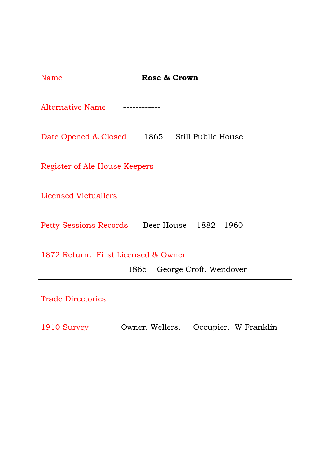| Name                                          | Rose & Crown                            |
|-----------------------------------------------|-----------------------------------------|
| <b>Alternative Name</b>                       |                                         |
| Date Opened & Closed 1865 Still Public House  |                                         |
| Register of Ale House Keepers                 |                                         |
| <b>Licensed Victuallers</b>                   |                                         |
| Petty Sessions Records Beer House 1882 - 1960 |                                         |
| 1872 Return. First Licensed & Owner           | 1865 George Croft. Wendover             |
| <b>Trade Directories</b>                      |                                         |
| 1910 Survey                                   | Owner. Wellers.<br>Occupier. W Franklin |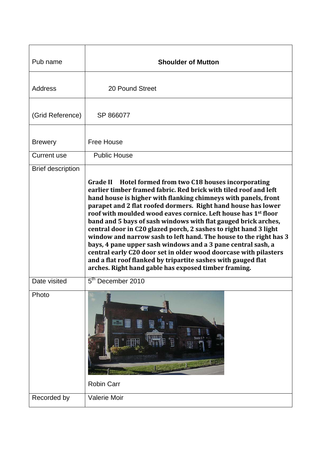| Pub name                 | <b>Shoulder of Mutton</b>                                                                                                                                                                                                                                                                                                                                                                                                                                                                                                                                                                                                                                                                                                                                                                                            |
|--------------------------|----------------------------------------------------------------------------------------------------------------------------------------------------------------------------------------------------------------------------------------------------------------------------------------------------------------------------------------------------------------------------------------------------------------------------------------------------------------------------------------------------------------------------------------------------------------------------------------------------------------------------------------------------------------------------------------------------------------------------------------------------------------------------------------------------------------------|
| Address                  | 20 Pound Street                                                                                                                                                                                                                                                                                                                                                                                                                                                                                                                                                                                                                                                                                                                                                                                                      |
| (Grid Reference)         | SP 866077                                                                                                                                                                                                                                                                                                                                                                                                                                                                                                                                                                                                                                                                                                                                                                                                            |
| <b>Brewery</b>           | <b>Free House</b>                                                                                                                                                                                                                                                                                                                                                                                                                                                                                                                                                                                                                                                                                                                                                                                                    |
| <b>Current use</b>       | <b>Public House</b>                                                                                                                                                                                                                                                                                                                                                                                                                                                                                                                                                                                                                                                                                                                                                                                                  |
| <b>Brief description</b> |                                                                                                                                                                                                                                                                                                                                                                                                                                                                                                                                                                                                                                                                                                                                                                                                                      |
|                          | Grade II Hotel formed from two C18 houses incorporating<br>earlier timber framed fabric. Red brick with tiled roof and left<br>hand house is higher with flanking chimneys with panels, front<br>parapet and 2 flat roofed dormers. Right hand house has lower<br>roof with moulded wood eaves cornice. Left house has 1 <sup>st</sup> floor<br>band and 5 bays of sash windows with flat gauged brick arches,<br>central door in C20 glazed porch, 2 sashes to right hand 3 light<br>window and narrow sash to left hand. The house to the right has 3<br>bays, 4 pane upper sash windows and a 3 pane central sash, a<br>central early C20 door set in older wood doorcase with pilasters<br>and a flat roof flanked by tripartite sashes with gauged flat<br>arches. Right hand gable has exposed timber framing. |
| Date visited             | 5 <sup>th</sup> December 2010                                                                                                                                                                                                                                                                                                                                                                                                                                                                                                                                                                                                                                                                                                                                                                                        |
| Photo                    | Đ<br>Rimala<br><b>Robin Carr</b>                                                                                                                                                                                                                                                                                                                                                                                                                                                                                                                                                                                                                                                                                                                                                                                     |
| Recorded by              | Valerie Moir                                                                                                                                                                                                                                                                                                                                                                                                                                                                                                                                                                                                                                                                                                                                                                                                         |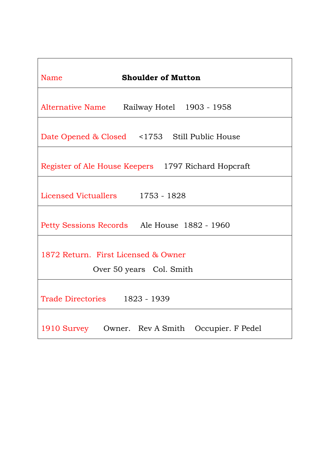| <b>Shoulder of Mutton</b><br><b>Name</b>                        |  |
|-----------------------------------------------------------------|--|
| Alternative Name Railway Hotel 1903 - 1958                      |  |
| Date Opened & Closed <1753 Still Public House                   |  |
| Register of Ale House Keepers 1797 Richard Hopcraft             |  |
| Licensed Victuallers 1753 - 1828                                |  |
| Petty Sessions Records Ale House 1882 - 1960                    |  |
| 1872 Return. First Licensed & Owner<br>Over 50 years Col. Smith |  |
| Trade Directories 1823 - 1939                                   |  |
| 1910 Survey Owner. Rev A Smith Occupier. F Pedel                |  |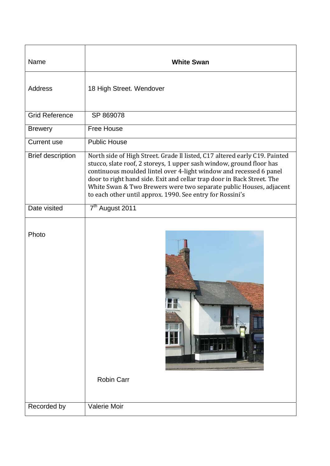| Name                     | <b>White Swan</b>                                                                                                                                                                                                                                                                                                                                                                                                                     |
|--------------------------|---------------------------------------------------------------------------------------------------------------------------------------------------------------------------------------------------------------------------------------------------------------------------------------------------------------------------------------------------------------------------------------------------------------------------------------|
| <b>Address</b>           | 18 High Street. Wendover                                                                                                                                                                                                                                                                                                                                                                                                              |
| <b>Grid Reference</b>    | SP 869078                                                                                                                                                                                                                                                                                                                                                                                                                             |
| <b>Brewery</b>           | <b>Free House</b>                                                                                                                                                                                                                                                                                                                                                                                                                     |
| <b>Current use</b>       | <b>Public House</b>                                                                                                                                                                                                                                                                                                                                                                                                                   |
| <b>Brief description</b> | North side of High Street. Grade II listed, C17 altered early C19. Painted<br>stucco, slate roof, 2 storeys, 1 upper sash window, ground floor has<br>continuous moulded lintel over 4-light window and recessed 6 panel<br>door to right hand side. Exit and cellar trap door in Back Street. The<br>White Swan & Two Brewers were two separate public Houses, adjacent<br>to each other until approx. 1990. See entry for Rossini's |
| Date visited             | 7 <sup>th</sup> August 2011                                                                                                                                                                                                                                                                                                                                                                                                           |
| Photo                    | <b>Robin Carr</b>                                                                                                                                                                                                                                                                                                                                                                                                                     |
| Recorded by              | Valerie Moir                                                                                                                                                                                                                                                                                                                                                                                                                          |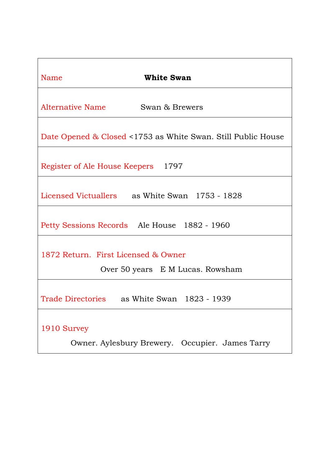| <b>White Swan</b><br>Name                                    |
|--------------------------------------------------------------|
| Alternative Name<br>Swan & Brewers                           |
| Date Opened & Closed <1753 as White Swan. Still Public House |
| Register of Ale House Keepers 1797                           |
| Licensed Victuallers as White Swan 1753 - 1828               |
| Petty Sessions Records Ale House 1882 - 1960                 |
| 1872 Return. First Licensed & Owner                          |
| Over 50 years E M Lucas. Rowsham                             |
| Trade Directories as White Swan 1823 - 1939                  |
| 1910 Survey                                                  |
| Owner. Aylesbury Brewery. Occupier. James Tarry              |

 $\mathsf{l}$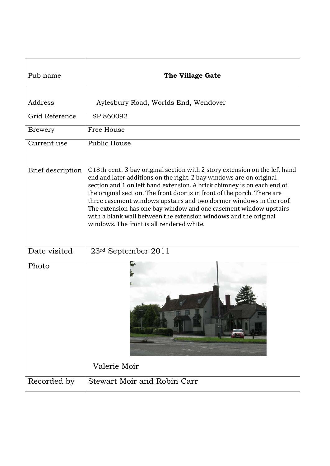| Pub name          | The Village Gate                                                                                                                                                                                                                                                                                                                                                                                                                                                                                                                                                      |
|-------------------|-----------------------------------------------------------------------------------------------------------------------------------------------------------------------------------------------------------------------------------------------------------------------------------------------------------------------------------------------------------------------------------------------------------------------------------------------------------------------------------------------------------------------------------------------------------------------|
| Address           | Aylesbury Road, Worlds End, Wendover                                                                                                                                                                                                                                                                                                                                                                                                                                                                                                                                  |
| Grid Reference    | SP 860092                                                                                                                                                                                                                                                                                                                                                                                                                                                                                                                                                             |
| <b>Brewery</b>    | Free House                                                                                                                                                                                                                                                                                                                                                                                                                                                                                                                                                            |
| Current use       | Public House                                                                                                                                                                                                                                                                                                                                                                                                                                                                                                                                                          |
| Brief description | C18th cent. 3 bay original section with 2 story extension on the left hand<br>end and later additions on the right. 2 bay windows are on original<br>section and 1 on left hand extension. A brick chimney is on each end of<br>the original section. The front door is in front of the porch. There are<br>three casement windows upstairs and two dormer windows in the roof.<br>The extension has one bay window and one casement window upstairs<br>with a blank wall between the extension windows and the original<br>windows. The front is all rendered white. |
| Date visited      | $23rd$ September 2011                                                                                                                                                                                                                                                                                                                                                                                                                                                                                                                                                 |
| Photo             | Valerie Moir                                                                                                                                                                                                                                                                                                                                                                                                                                                                                                                                                          |
| Recorded by       | Stewart Moir and Robin Carr                                                                                                                                                                                                                                                                                                                                                                                                                                                                                                                                           |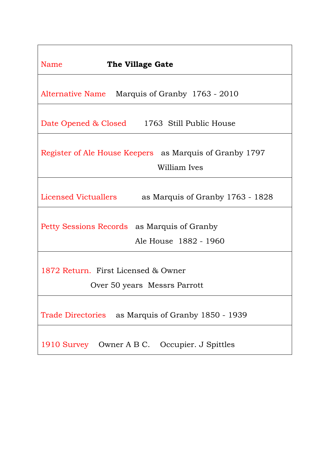| Name<br>The Village Gate                                                |  |
|-------------------------------------------------------------------------|--|
| Alternative Name Marquis of Granby 1763 - 2010                          |  |
| Date Opened & Closed 1763 Still Public House                            |  |
| Register of Ale House Keepers as Marquis of Granby 1797<br>William Ives |  |
| Licensed Victuallers<br>as Marquis of Granby 1763 - 1828                |  |
| Petty Sessions Records as Marquis of Granby<br>Ale House 1882 - 1960    |  |
| 1872 Return. First Licensed & Owner<br>Over 50 years Messrs Parrott     |  |
| Trade Directories as Marquis of Granby 1850 - 1939                      |  |
| 1910 Survey Owner A B C. Occupier. J Spittles                           |  |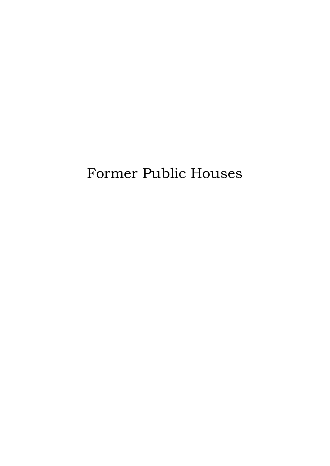# Former Public Houses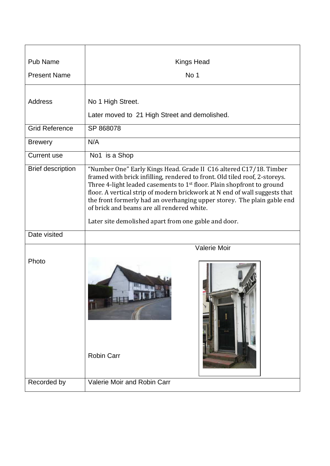| Pub Name                 | <b>Kings Head</b>                                                                                                                                                                                                                                                                                                                                                                                                                                                                                     |
|--------------------------|-------------------------------------------------------------------------------------------------------------------------------------------------------------------------------------------------------------------------------------------------------------------------------------------------------------------------------------------------------------------------------------------------------------------------------------------------------------------------------------------------------|
| <b>Present Name</b>      | No 1                                                                                                                                                                                                                                                                                                                                                                                                                                                                                                  |
| Address                  | No 1 High Street.<br>Later moved to 21 High Street and demolished.                                                                                                                                                                                                                                                                                                                                                                                                                                    |
| <b>Grid Reference</b>    | SP 868078                                                                                                                                                                                                                                                                                                                                                                                                                                                                                             |
| <b>Brewery</b>           | N/A                                                                                                                                                                                                                                                                                                                                                                                                                                                                                                   |
| Current use              | No1 is a Shop                                                                                                                                                                                                                                                                                                                                                                                                                                                                                         |
| <b>Brief description</b> | "Number One" Early Kings Head. Grade II C16 altered C17/18. Timber<br>framed with brick infilling, rendered to front. Old tiled roof, 2-storeys.<br>Three 4-light leaded casements to 1 <sup>st</sup> floor. Plain shopfront to ground<br>floor. A vertical strip of modern brickwork at N end of wall suggests that<br>the front formerly had an overhanging upper storey. The plain gable end<br>of brick and beams are all rendered white.<br>Later site demolished apart from one gable and door. |
| Date visited             |                                                                                                                                                                                                                                                                                                                                                                                                                                                                                                       |
| Photo                    | <b>Valerie Moir</b><br><b>Robin Carr</b>                                                                                                                                                                                                                                                                                                                                                                                                                                                              |
| Recorded by              | Valerie Moir and Robin Carr                                                                                                                                                                                                                                                                                                                                                                                                                                                                           |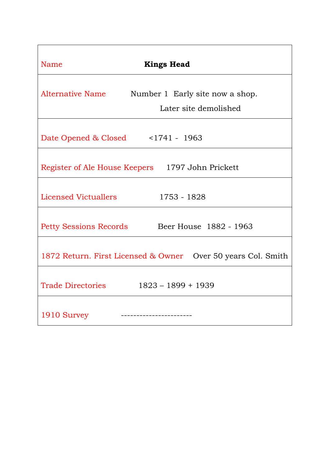| Name<br><b>Kings Head</b>                                                    |
|------------------------------------------------------------------------------|
| Alternative Name<br>Number 1 Early site now a shop.<br>Later site demolished |
| Date Opened & Closed <1741 - 1963                                            |
| Register of Ale House Keepers 1797 John Prickett                             |
| 1753 - 1828<br>Licensed Victuallers                                          |
| Petty Sessions Records Beer House 1882 - 1963                                |
| 1872 Return. First Licensed & Owner  Over 50 years Col. Smith                |
| <b>Trade Directories</b><br>$1823 - 1899 + 1939$                             |
| 1910 Survey                                                                  |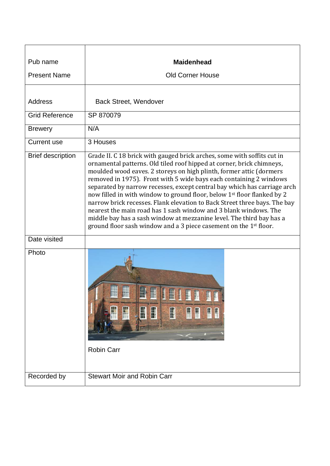| Pub name                 | <b>Maidenhead</b>                                                                                                                                                                                                                                                                                                                                                                                                                                                                                                                                                                                                                                                                                                                                              |
|--------------------------|----------------------------------------------------------------------------------------------------------------------------------------------------------------------------------------------------------------------------------------------------------------------------------------------------------------------------------------------------------------------------------------------------------------------------------------------------------------------------------------------------------------------------------------------------------------------------------------------------------------------------------------------------------------------------------------------------------------------------------------------------------------|
| <b>Present Name</b>      | <b>Old Corner House</b>                                                                                                                                                                                                                                                                                                                                                                                                                                                                                                                                                                                                                                                                                                                                        |
|                          |                                                                                                                                                                                                                                                                                                                                                                                                                                                                                                                                                                                                                                                                                                                                                                |
| <b>Address</b>           | <b>Back Street, Wendover</b>                                                                                                                                                                                                                                                                                                                                                                                                                                                                                                                                                                                                                                                                                                                                   |
| <b>Grid Reference</b>    | SP 870079                                                                                                                                                                                                                                                                                                                                                                                                                                                                                                                                                                                                                                                                                                                                                      |
| <b>Brewery</b>           | N/A                                                                                                                                                                                                                                                                                                                                                                                                                                                                                                                                                                                                                                                                                                                                                            |
| Current use              | 3 Houses                                                                                                                                                                                                                                                                                                                                                                                                                                                                                                                                                                                                                                                                                                                                                       |
| <b>Brief description</b> | Grade II. C 18 brick with gauged brick arches, some with soffits cut in<br>ornamental patterns. Old tiled roof hipped at corner, brick chimneys,<br>moulded wood eaves. 2 storeys on high plinth, former attic (dormers<br>removed in 1975). Front with 5 wide bays each containing 2 windows<br>separated by narrow recesses, except central bay which has carriage arch<br>now filled in with window to ground floor, below 1st floor flanked by 2<br>narrow brick recesses. Flank elevation to Back Street three bays. The bay<br>nearest the main road has 1 sash window and 3 blank windows. The<br>middle bay has a sash window at mezzanine level. The third bay has a<br>ground floor sash window and a 3 piece casement on the 1 <sup>st</sup> floor. |
| Date visited             |                                                                                                                                                                                                                                                                                                                                                                                                                                                                                                                                                                                                                                                                                                                                                                |
| Photo                    | m<br>$\mathbf{m}$<br><b>TIP IIP</b><br>H<br>T<br>H<br>H<br>H<br>Щ<br>₩<br>H<br>Ħ<br><b>Robin Carr</b>                                                                                                                                                                                                                                                                                                                                                                                                                                                                                                                                                                                                                                                          |
| Recorded by              | <b>Stewart Moir and Robin Carr</b>                                                                                                                                                                                                                                                                                                                                                                                                                                                                                                                                                                                                                                                                                                                             |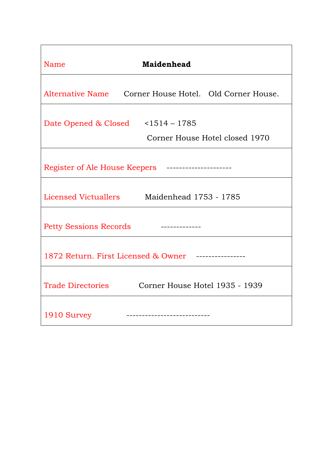| <b>Maidenhead</b><br>Name                                           |  |
|---------------------------------------------------------------------|--|
| Alternative Name Corner House Hotel. Old Corner House.              |  |
| Date Opened & Closed <1514 - 1785<br>Corner House Hotel closed 1970 |  |
| Register of Ale House Keepers ---------------------                 |  |
| Licensed Victuallers Maidenhead 1753 - 1785                         |  |
| <b>Petty Sessions Records</b>                                       |  |
| 1872 Return. First Licensed & Owner -------------                   |  |
| Trade Directories Corner House Hotel 1935 - 1939                    |  |
| 1910 Survey<br>---------------------------                          |  |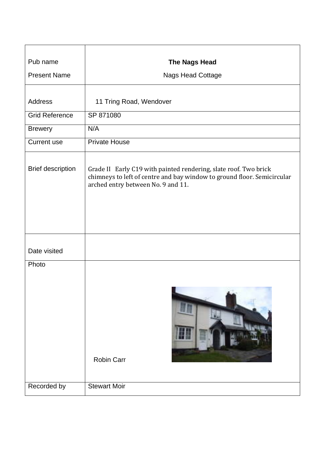| Pub name                 | <b>The Nags Head</b>                                                                                                                                                              |
|--------------------------|-----------------------------------------------------------------------------------------------------------------------------------------------------------------------------------|
| <b>Present Name</b>      | <b>Nags Head Cottage</b>                                                                                                                                                          |
|                          |                                                                                                                                                                                   |
| <b>Address</b>           | 11 Tring Road, Wendover                                                                                                                                                           |
| <b>Grid Reference</b>    | SP 871080                                                                                                                                                                         |
| <b>Brewery</b>           | N/A                                                                                                                                                                               |
| <b>Current use</b>       | <b>Private House</b>                                                                                                                                                              |
| <b>Brief description</b> | Grade II Early C19 with painted rendering, slate roof. Two brick<br>chimneys to left of centre and bay window to ground floor. Semicircular<br>arched entry between No. 9 and 11. |
| Date visited             |                                                                                                                                                                                   |
| Photo                    | <b>Contract</b><br><b>Robin Carr</b><br><b>Stewart Moir</b>                                                                                                                       |
| Recorded by              |                                                                                                                                                                                   |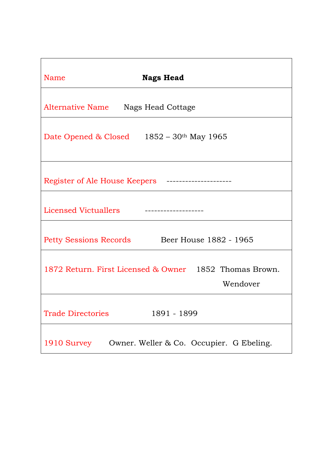| Name<br><b>Nags Head</b>                                           |  |  |
|--------------------------------------------------------------------|--|--|
| Alternative Name Nags Head Cottage                                 |  |  |
| Date Opened & Closed $1852 - 30$ <sup>th</sup> May 1965            |  |  |
| Register of Ale House Keepers ---------                            |  |  |
| Licensed Victuallers<br>------------------                         |  |  |
| Beer House 1882 - 1965<br>Petty Sessions Records                   |  |  |
| 1872 Return. First Licensed & Owner 1852 Thomas Brown.<br>Wendover |  |  |
| <b>Trade Directories</b><br>1891 - 1899                            |  |  |
| 1910 Survey Owner. Weller & Co. Occupier. G Ebeling.               |  |  |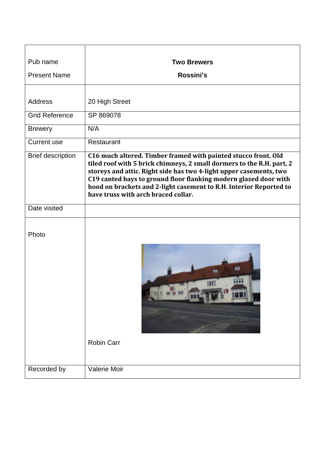| Pub name                 | <b>Two Brewers</b>                                                                                                                                                                                                                                                                                                                                                                             |
|--------------------------|------------------------------------------------------------------------------------------------------------------------------------------------------------------------------------------------------------------------------------------------------------------------------------------------------------------------------------------------------------------------------------------------|
| <b>Present Name</b>      | Rossini's                                                                                                                                                                                                                                                                                                                                                                                      |
|                          |                                                                                                                                                                                                                                                                                                                                                                                                |
| Address                  | 20 High Street                                                                                                                                                                                                                                                                                                                                                                                 |
| <b>Grid Reference</b>    | SP 869078                                                                                                                                                                                                                                                                                                                                                                                      |
| <b>Brewery</b>           | N/A                                                                                                                                                                                                                                                                                                                                                                                            |
| <b>Current use</b>       | Restaurant                                                                                                                                                                                                                                                                                                                                                                                     |
| <b>Brief description</b> | C16 much altered. Timber framed with painted stucco front. Old<br>tiled roof with 5 brick chimneys, 2 small dormers to the R.H. part, 2<br>storeys and attic. Right side has two 4-light upper casements, two<br>C19 canted bays to ground floor flanking modern glazed door with<br>hood on brackets and 2-light casement to R.H. Interior Reported to<br>have truss with arch braced collar. |
| Date visited             |                                                                                                                                                                                                                                                                                                                                                                                                |
| Photo                    | ш<br><b>Robin Carr</b>                                                                                                                                                                                                                                                                                                                                                                         |
| Recorded by              | Valerie Moir                                                                                                                                                                                                                                                                                                                                                                                   |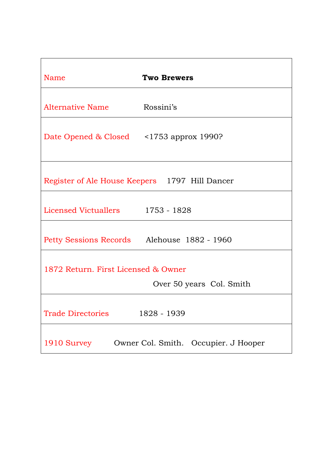| Name                                                            | <b>Two Brewers</b>                   |  |
|-----------------------------------------------------------------|--------------------------------------|--|
| Alternative Name                                                | Rossini's                            |  |
| Date Opened & Closed <1753 approx 1990?                         |                                      |  |
| Register of Ale House Keepers 1797 Hill Dancer                  |                                      |  |
| Licensed Victuallers 1753 - 1828                                |                                      |  |
| Petty Sessions Records Alehouse 1882 - 1960                     |                                      |  |
| 1872 Return. First Licensed & Owner<br>Over 50 years Col. Smith |                                      |  |
| <b>Trade Directories</b>                                        | 1828 - 1939                          |  |
| 1910 Survey                                                     | Owner Col. Smith. Occupier. J Hooper |  |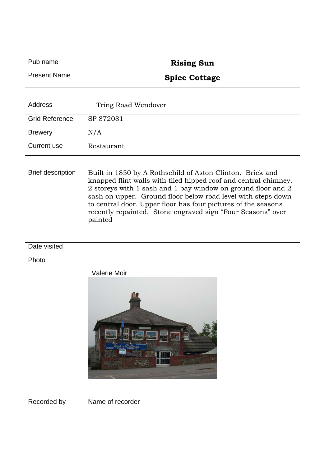| Pub name                 | <b>Rising Sun</b>                                                                                                                                                                                                                                                                                                                                                                                       |
|--------------------------|---------------------------------------------------------------------------------------------------------------------------------------------------------------------------------------------------------------------------------------------------------------------------------------------------------------------------------------------------------------------------------------------------------|
| <b>Present Name</b>      | <b>Spice Cottage</b>                                                                                                                                                                                                                                                                                                                                                                                    |
|                          |                                                                                                                                                                                                                                                                                                                                                                                                         |
| <b>Address</b>           | Tring Road Wendover                                                                                                                                                                                                                                                                                                                                                                                     |
| <b>Grid Reference</b>    | SP 872081                                                                                                                                                                                                                                                                                                                                                                                               |
| <b>Brewery</b>           | N/A                                                                                                                                                                                                                                                                                                                                                                                                     |
| <b>Current use</b>       | Restaurant                                                                                                                                                                                                                                                                                                                                                                                              |
| <b>Brief description</b> | Built in 1850 by A Rothschild of Aston Clinton. Brick and<br>knapped flint walls with tiled hipped roof and central chimney.<br>2 storeys with 1 sash and 1 bay window on ground floor and 2<br>sash on upper. Ground floor below road level with steps down<br>to central door. Upper floor has four pictures of the seasons<br>recently repainted. Stone engraved sign "Four Seasons" over<br>painted |
| Date visited             |                                                                                                                                                                                                                                                                                                                                                                                                         |
| Photo                    | <b>Valerie Moir</b>                                                                                                                                                                                                                                                                                                                                                                                     |
| Recorded by              | Name of recorder                                                                                                                                                                                                                                                                                                                                                                                        |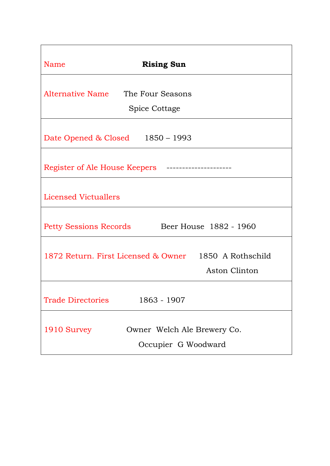| Name<br><b>Rising Sun</b>                                              |
|------------------------------------------------------------------------|
| Alternative Name<br>The Four Seasons<br><b>Spice Cottage</b>           |
| Date Opened & Closed 1850 – 1993                                       |
| Register of Ale House Keepers                                          |
| <b>Licensed Victuallers</b>                                            |
| Beer House 1882 - 1960<br>Petty Sessions Records                       |
| 1872 Return. First Licensed & Owner 1850 A Rothschild<br>Aston Clinton |
| 1863 - 1907<br><b>Trade Directories</b>                                |
| Owner Welch Ale Brewery Co.<br>1910 Survey<br>Occupier G Woodward      |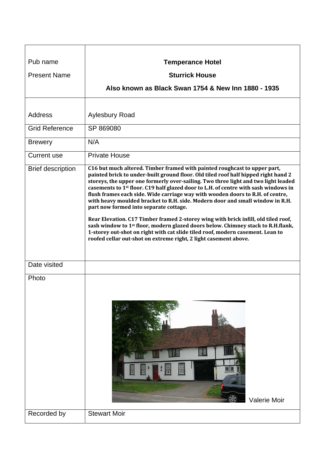| Pub name                 | <b>Temperance Hotel</b>                                                                                                                                                                                                                                                                                                                                                                                                                                                                                                                                                                                                                                                                                                                                                                                                                                                                                           |
|--------------------------|-------------------------------------------------------------------------------------------------------------------------------------------------------------------------------------------------------------------------------------------------------------------------------------------------------------------------------------------------------------------------------------------------------------------------------------------------------------------------------------------------------------------------------------------------------------------------------------------------------------------------------------------------------------------------------------------------------------------------------------------------------------------------------------------------------------------------------------------------------------------------------------------------------------------|
| <b>Present Name</b>      | <b>Sturrick House</b>                                                                                                                                                                                                                                                                                                                                                                                                                                                                                                                                                                                                                                                                                                                                                                                                                                                                                             |
|                          | Also known as Black Swan 1754 & New Inn 1880 - 1935                                                                                                                                                                                                                                                                                                                                                                                                                                                                                                                                                                                                                                                                                                                                                                                                                                                               |
|                          |                                                                                                                                                                                                                                                                                                                                                                                                                                                                                                                                                                                                                                                                                                                                                                                                                                                                                                                   |
| <b>Address</b>           | <b>Aylesbury Road</b>                                                                                                                                                                                                                                                                                                                                                                                                                                                                                                                                                                                                                                                                                                                                                                                                                                                                                             |
| <b>Grid Reference</b>    | SP 869080                                                                                                                                                                                                                                                                                                                                                                                                                                                                                                                                                                                                                                                                                                                                                                                                                                                                                                         |
| <b>Brewery</b>           | N/A                                                                                                                                                                                                                                                                                                                                                                                                                                                                                                                                                                                                                                                                                                                                                                                                                                                                                                               |
| <b>Current use</b>       | <b>Private House</b>                                                                                                                                                                                                                                                                                                                                                                                                                                                                                                                                                                                                                                                                                                                                                                                                                                                                                              |
| <b>Brief description</b> | C16 but much altered. Timber framed with painted roughcast to upper part,<br>painted brick to under-built ground floor. Old tiled roof half hipped right hand 2<br>storeys, the upper one formerly over-sailing. Two three light and two light leaded<br>casements to 1 <sup>st</sup> floor. C19 half glazed door to L.H. of centre with sash windows in<br>flush frames each side. Wide carriage way with wooden doors to R.H. of centre,<br>with heavy moulded bracket to R.H. side. Modern door and small window in R.H.<br>part now formed into separate cottage.<br>Rear Elevation. C17 Timber framed 2-storey wing with brick infill, old tiled roof,<br>sash window to 1 <sup>st</sup> floor, modern glazed doors below. Chimney stack to R.H.flank,<br>1-storey out-shot on right with cat slide tiled roof, modern casement. Lean to<br>roofed cellar out-shot on extreme right, 2 light casement above. |
| Date visited             |                                                                                                                                                                                                                                                                                                                                                                                                                                                                                                                                                                                                                                                                                                                                                                                                                                                                                                                   |
| Photo                    | <b>Valerie Moir</b>                                                                                                                                                                                                                                                                                                                                                                                                                                                                                                                                                                                                                                                                                                                                                                                                                                                                                               |
| Recorded by              | <b>Stewart Moir</b>                                                                                                                                                                                                                                                                                                                                                                                                                                                                                                                                                                                                                                                                                                                                                                                                                                                                                               |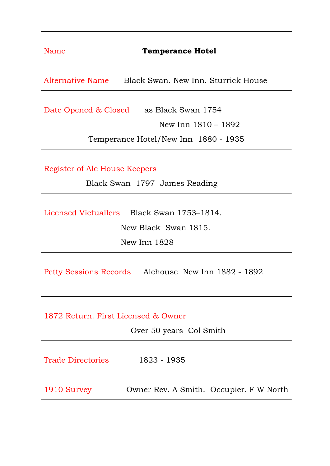| Name<br><b>Temperance Hotel</b>                                                    |  |
|------------------------------------------------------------------------------------|--|
| Alternative Name Black Swan. New Inn. Sturrick House                               |  |
| Date Opened & Closed as Black Swan 1754<br>New Inn $1810 - 1892$                   |  |
| Temperance Hotel/New Inn 1880 - 1935                                               |  |
| Register of Ale House Keepers<br>Black Swan 1797 James Reading                     |  |
| Licensed Victuallers Black Swan 1753–1814.<br>New Black Swan 1815.<br>New Inn 1828 |  |
| Petty Sessions Records Alehouse New Inn 1882 - 1892                                |  |
| 1872 Return. First Licensed & Owner<br>Over 50 years Col Smith                     |  |
| <b>Trade Directories</b><br>1823 - 1935                                            |  |
| 1910 Survey<br>Owner Rev. A Smith. Occupier. F W North                             |  |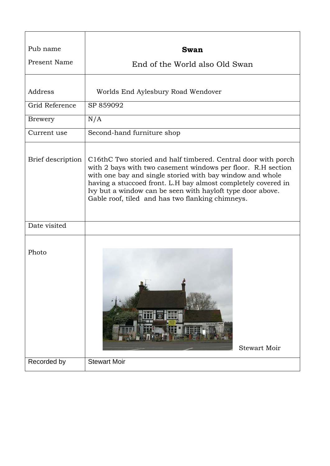| Pub name          | <b>Swan</b>                                                                                                                                                                                                                                                                                                                                                                   |
|-------------------|-------------------------------------------------------------------------------------------------------------------------------------------------------------------------------------------------------------------------------------------------------------------------------------------------------------------------------------------------------------------------------|
| Present Name      | End of the World also Old Swan                                                                                                                                                                                                                                                                                                                                                |
| Address           | Worlds End Aylesbury Road Wendover                                                                                                                                                                                                                                                                                                                                            |
| Grid Reference    | SP 859092                                                                                                                                                                                                                                                                                                                                                                     |
| Brewery           | N/A                                                                                                                                                                                                                                                                                                                                                                           |
| Current use       | Second-hand furniture shop                                                                                                                                                                                                                                                                                                                                                    |
| Brief description | C16thC Two storied and half timbered. Central door with porch<br>with 2 bays with two casement windows per floor. R.H section<br>with one bay and single storied with bay window and whole<br>having a stuccoed front. L.H bay almost completely covered in<br>Ivy but a window can be seen with hayloft type door above.<br>Gable roof, tiled and has two flanking chimneys. |
| Date visited      |                                                                                                                                                                                                                                                                                                                                                                               |
| Photo             | <b>ANTIQUE</b><br><b>Stewart Moir</b>                                                                                                                                                                                                                                                                                                                                         |
| Recorded by       | <b>Stewart Moir</b>                                                                                                                                                                                                                                                                                                                                                           |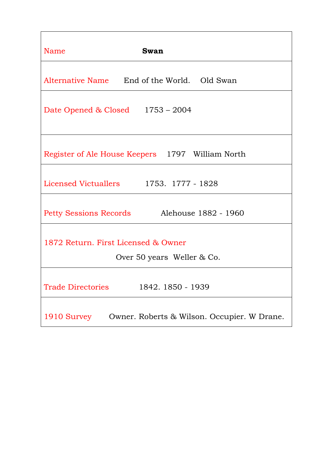| Name<br>Swan                                                      |  |  |
|-------------------------------------------------------------------|--|--|
| Alternative Name End of the World. Old Swan                       |  |  |
| Date Opened & Closed 1753 - 2004                                  |  |  |
| Register of Ale House Keepers 1797 William North                  |  |  |
| Licensed Victuallers 1753. 1777 - 1828                            |  |  |
| Petty Sessions Records Alehouse 1882 - 1960                       |  |  |
| 1872 Return. First Licensed & Owner<br>Over 50 years Weller & Co. |  |  |
| <b>Trade Directories</b><br>1842. 1850 - 1939                     |  |  |
| 1910 Survey<br>Owner. Roberts & Wilson. Occupier. W Drane.        |  |  |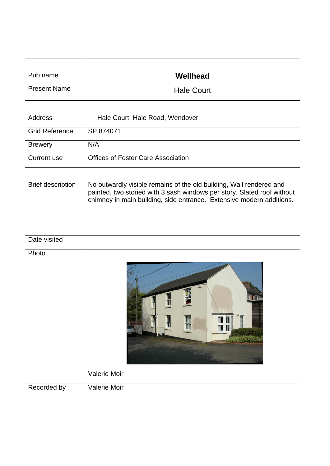| Pub name                 | Wellhead                                                                                                                                                                                                               |
|--------------------------|------------------------------------------------------------------------------------------------------------------------------------------------------------------------------------------------------------------------|
| <b>Present Name</b>      | <b>Hale Court</b>                                                                                                                                                                                                      |
|                          |                                                                                                                                                                                                                        |
| <b>Address</b>           | Hale Court, Hale Road, Wendover                                                                                                                                                                                        |
| <b>Grid Reference</b>    | SP 874071                                                                                                                                                                                                              |
| <b>Brewery</b>           | N/A                                                                                                                                                                                                                    |
| <b>Current use</b>       | <b>Offices of Foster Care Association</b>                                                                                                                                                                              |
| <b>Brief description</b> | No outwardly visible remains of the old building, Wall rendered and<br>painted, two storied with 3 sash windows per story. Slated roof without<br>chimney in main building, side entrance. Extensive modern additions. |
| Date visited             |                                                                                                                                                                                                                        |
| Photo                    | II.<br>Valerie Moir                                                                                                                                                                                                    |
| Recorded by              | Valerie Moir                                                                                                                                                                                                           |